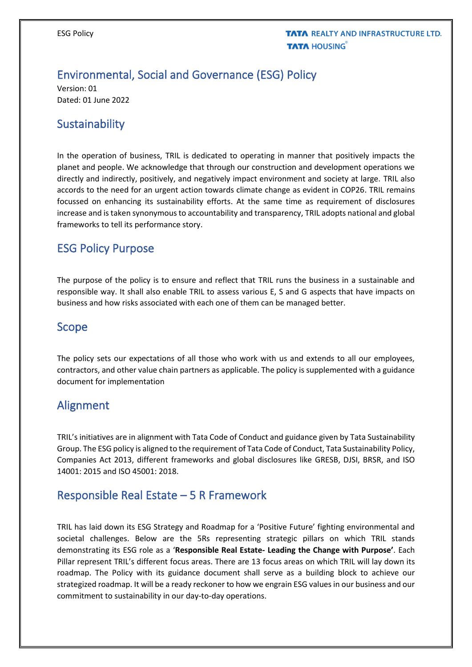## Environmental, Social and Governance (ESG) Policy

Version: 01 Dated: 01 June 2022

## **Sustainability**

In the operation of business, TRIL is dedicated to operating in manner that positively impacts the planet and people. We acknowledge that through our construction and development operations we directly and indirectly, positively, and negatively impact environment and society at large. TRIL also accords to the need for an urgent action towards climate change as evident in COP26. TRIL remains focussed on enhancing its sustainability efforts. At the same time as requirement of disclosures increase and is taken synonymous to accountability and transparency, TRIL adopts national and global frameworks to tell its performance story.

# ESG Policy Purpose

The purpose of the policy is to ensure and reflect that TRIL runs the business in a sustainable and responsible way. It shall also enable TRIL to assess various E, S and G aspects that have impacts on business and how risks associated with each one of them can be managed better.

### Scope

The policy sets our expectations of all those who work with us and extends to all our employees, contractors, and other value chain partners as applicable. The policy is supplemented with a guidance document for implementation

### Alignment

TRIL's initiatives are in alignment with Tata Code of Conduct and guidance given by Tata Sustainability Group. The ESG policy is aligned to the requirement of Tata Code of Conduct, Tata Sustainability Policy, Companies Act 2013, different frameworks and global disclosures like GRESB, DJSI, BRSR, and ISO 14001: 2015 and ISO 45001: 2018.

# Responsible Real Estate – 5 R Framework

TRIL has laid down its ESG Strategy and Roadmap for a 'Positive Future' fighting environmental and societal challenges. Below are the 5Rs representing strategic pillars on which TRIL stands demonstrating its ESG role as a '**Responsible Real Estate- Leading the Change with Purpose'**. Each Pillar represent TRIL's different focus areas. There are 13 focus areas on which TRIL will lay down its roadmap. The Policy with its guidance document shall serve as a building block to achieve our strategized roadmap. It will be a ready reckoner to how we engrain ESG values in our business and our commitment to sustainability in our day-to-day operations.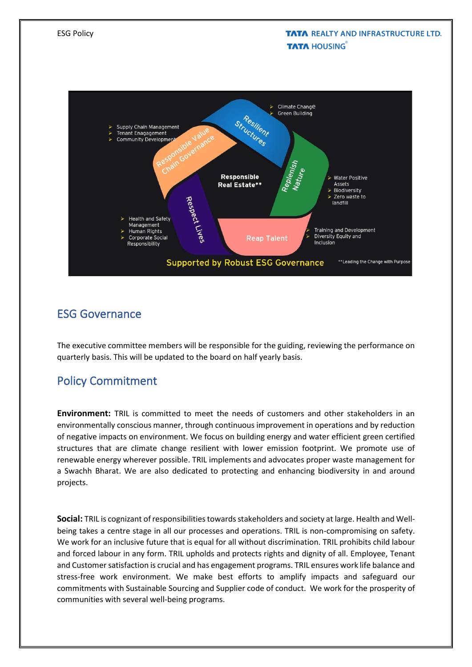

# ESG Governance

The executive committee members will be responsible for the guiding, reviewing the performance on quarterly basis. This will be updated to the board on half yearly basis.

# Policy Commitment

**Environment:** TRIL is committed to meet the needs of customers and other stakeholders in an environmentally conscious manner, through continuous improvement in operations and by reduction of negative impacts on environment. We focus on building energy and water efficient green certified structures that are climate change resilient with lower emission footprint. We promote use of renewable energy wherever possible. TRIL implements and advocates proper waste management for a Swachh Bharat. We are also dedicated to protecting and enhancing biodiversity in and around projects.

**Social:** TRIL is cognizant of responsibilities towards stakeholders and society at large. Health and Wellbeing takes a centre stage in all our processes and operations. TRIL is non-compromising on safety. We work for an inclusive future that is equal for all without discrimination. TRIL prohibits child labour and forced labour in any form. TRIL upholds and protects rights and dignity of all. Employee, Tenant and Customer satisfaction is crucial and has engagement programs. TRIL ensures work life balance and stress-free work environment. We make best efforts to amplify impacts and safeguard our commitments with Sustainable Sourcing and Supplier code of conduct. We work for the prosperity of communities with several well-being programs.